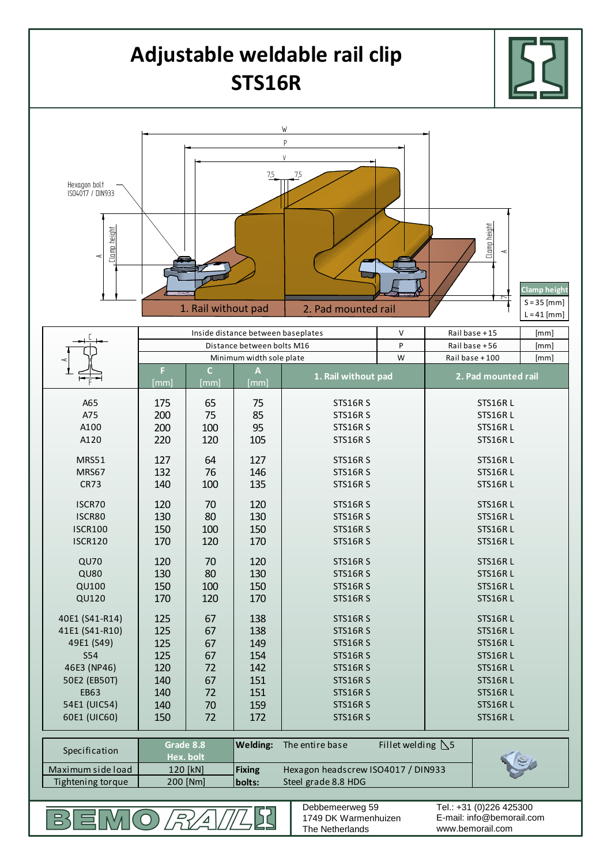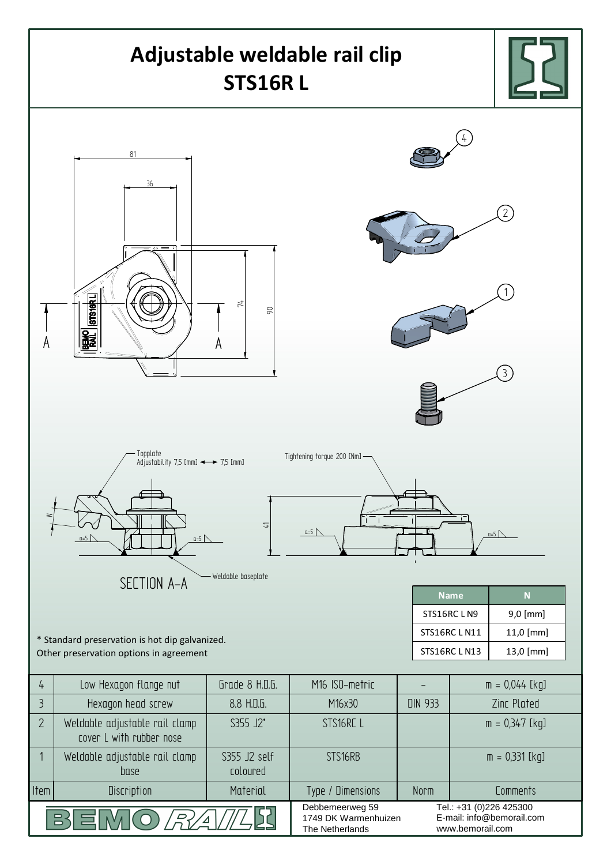